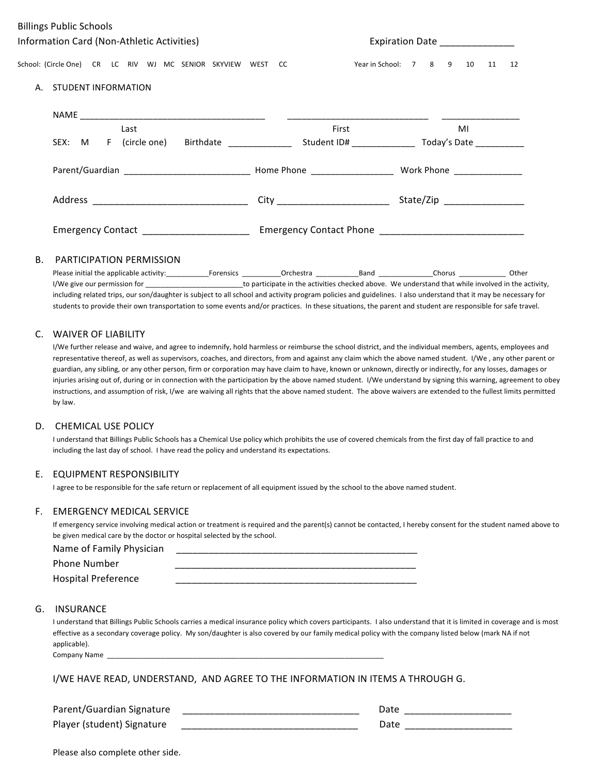| <b>Billings Public Schools</b>                              |                                 |                              |    |  |    |
|-------------------------------------------------------------|---------------------------------|------------------------------|----|--|----|
| Information Card (Non-Athletic Activities)                  | Expiration Date _______________ |                              |    |  |    |
| School: (Circle One) CR LC RIV WJ MC SENIOR SKYVIEW WEST CC | Year in School: 7 8 9 10 11     |                              |    |  | 12 |
| STUDENT INFORMATION<br>А.                                   |                                 |                              |    |  |    |
|                                                             |                                 |                              |    |  |    |
| Last                                                        | First                           |                              | MI |  |    |
| SEX: M F (circle one) Birthdate Student ID# Today's Date    |                                 |                              |    |  |    |
|                                                             |                                 | Work Phone <b>Work</b>       |    |  |    |
|                                                             |                                 | State/Zip __________________ |    |  |    |
| Emergency Contact _______________________                   |                                 |                              |    |  |    |

#### B. PARTICIPATION PERMISSION

Please initial the applicable activity:\_\_\_\_\_\_\_\_\_\_\_Forensics \_\_\_\_\_\_\_\_\_\_Orchestra \_\_\_\_\_\_\_\_\_\_\_Band \_\_\_\_\_\_\_\_\_\_\_\_\_\_Chorus \_\_\_\_\_\_\_\_\_\_\_\_ Other I/We give our permission for \_\_\_\_\_\_\_\_\_\_\_\_\_\_\_\_\_\_\_\_\_\_\_\_\_\_\_\_\_\_to participate in the activities checked above. We understand that while involved in the activity, including related trips, our son/daughter is subject to all school and activity program policies and guidelines. I also understand that it may be necessary for students to provide their own transportation to some events and/or practices. In these situations, the parent and student are responsible for safe travel.

## C. WAIVER OF LIABILITY

I/We further release and waive, and agree to indemnify, hold harmless or reimburse the school district, and the individual members, agents, employees and representative thereof, as well as supervisors, coaches, and directors, from and against any claim which the above named student. I/We, any other parent or guardian, any sibling, or any other person, firm or corporation may have claim to have, known or unknown, directly or indirectly, for any losses, damages or injuries arising out of, during or in connection with the participation by the above named student. I/We understand by signing this warning, agreement to obey instructions, and assumption of risk, I/we are waiving all rights that the above named student. The above waivers are extended to the fullest limits permitted by law.

#### D. CHEMICAL USE POLICY

I understand that Billings Public Schools has a Chemical Use policy which prohibits the use of covered chemicals from the first day of fall practice to and including the last day of school. I have read the policy and understand its expectations.

#### E. EQUIPMENT RESPONSIBILITY

I agree to be responsible for the safe return or replacement of all equipment issued by the school to the above named student.

#### F. EMERGENCY MEDICAL SERVICE

If emergency service involving medical action or treatment is required and the parent(s) cannot be contacted, I hereby consent for the student named above to be given medical care by the doctor or hospital selected by the school.

| Name of Family Physician   |  |
|----------------------------|--|
| Phone Number               |  |
| <b>Hospital Preference</b> |  |

### G. INSURANCE

I understand that Billings Public Schools carries a medical insurance policy which covers participants. I also understand that it is limited in coverage and is most effective as a secondary coverage policy. My son/daughter is also covered by our family medical policy with the company listed below (mark NA if not applicable). Company Name

I/WE HAVE READ, UNDERSTAND, AND AGREE TO THE INFORMATION IN ITEMS A THROUGH G.

| Parent/Guardian Signature  |  |
|----------------------------|--|
| Player (student) Signature |  |

| Please also complete other side. |  |  |  |
|----------------------------------|--|--|--|
|----------------------------------|--|--|--|